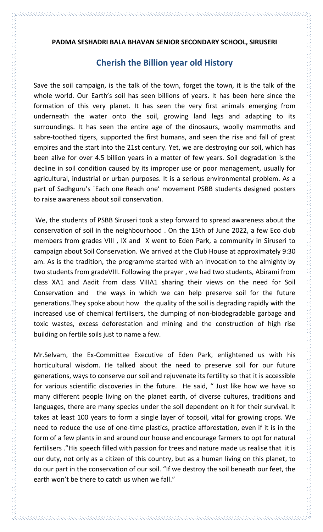## **PADMA SESHADRI BALA BHAVAN SENIOR SECONDARY SCHOOL, SIRUSERI**

## **Cherish the Billion year old History**

Save the soil campaign, is the talk of the town, forget the town, it is the talk of the whole world. Our Earth's soil has seen billions of years. It has been here since the formation of this very planet. It has seen the very first animals emerging from underneath the water onto the soil, growing land legs and adapting to its surroundings. It has seen the entire age of the dinosaurs, woolly mammoths and sabre-toothed tigers, supported the first humans, and seen the rise and fall of great empires and the start into the 21st century. Yet, we are destroying our soil, which has been alive for over 4.5 billion years in a matter of few years. Soil degradation is the decline in soil condition caused by its improper use or poor management, usually for agricultural, industrial or urban purposes. It is a serious environmental problem. As a part of Sadhguru's `Each one Reach one' movement PSBB students designed posters to raise awareness about soil conservation.

We, the students of PSBB Siruseri took a step forward to spread awareness about the conservation of soil in the neighbourhood . On the 15th of June 2022, a few Eco club members from grades VIII , IX and X went to Eden Park, a community in Siruseri to campaign about Soil Conservation. We arrived at the Club House at approximately 9:30 am. As is the tradition, the programme started with an invocation to the almighty by two students from gradeVIII. Following the prayer , we had two students, Abirami from class XA1 and Aadit from class VIIIA1 sharing their views on the need for Soil Conservation and the ways in which we can help preserve soil for the future generations.They spoke about how the quality of the soil is degrading rapidly with the increased use of chemical fertilisers, the dumping of non-biodegradable garbage and toxic wastes, excess deforestation and mining and the construction of high rise building on fertile soils just to name a few.

Mr.Selvam, the Ex-Committee Executive of Eden Park, enlightened us with his horticultural wisdom. He talked about the need to preserve soil for our future generations, ways to conserve our soil and rejuvenate its fertility so that it is accessible for various scientific discoveries in the future. He said, " Just like how we have so many different people living on the planet earth, of diverse cultures, traditions and languages, there are many species under the soil dependent on it for their survival. It takes at least 100 years to form a single layer of topsoil, vital for growing crops. We need to reduce the use of one-time plastics, practice afforestation, even if it is in the form of a few plants in and around our house and encourage farmers to opt for natural fertilisers ."His speech filled with passion for trees and nature made us realise that it is our duty, not only as a citizen of this country, but as a human living on this planet, to do our part in the conservation of our soil. "If we destroy the soil beneath our feet, the earth won't be there to catch us when we fall."